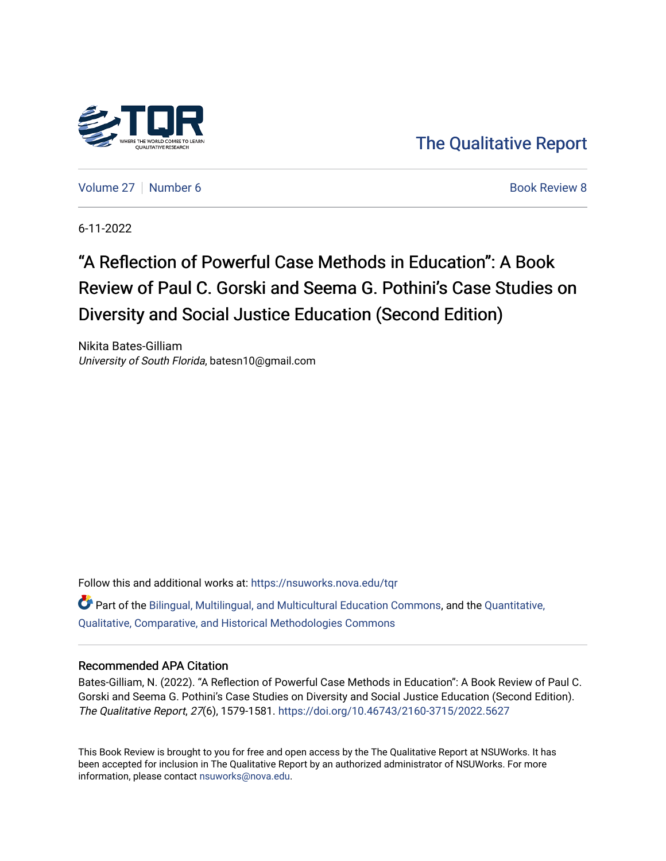

[The Qualitative Report](https://nsuworks.nova.edu/tqr) 

[Volume 27](https://nsuworks.nova.edu/tqr/vol27) [Number 6](https://nsuworks.nova.edu/tqr/vol27/iss6) **Book Review 8** Book Review 8

6-11-2022

## "A Reflection of Powerful Case Methods in Education": A Book Review of Paul C. Gorski and Seema G. Pothini's Case Studies on Diversity and Social Justice Education (Second Edition)

Nikita Bates-Gilliam University of South Florida, batesn10@gmail.com

Follow this and additional works at: [https://nsuworks.nova.edu/tqr](https://nsuworks.nova.edu/tqr?utm_source=nsuworks.nova.edu%2Ftqr%2Fvol27%2Fiss6%2F8&utm_medium=PDF&utm_campaign=PDFCoverPages)  Part of the [Bilingual, Multilingual, and Multicultural Education Commons,](https://network.bepress.com/hgg/discipline/785?utm_source=nsuworks.nova.edu%2Ftqr%2Fvol27%2Fiss6%2F8&utm_medium=PDF&utm_campaign=PDFCoverPages) and the [Quantitative,](https://network.bepress.com/hgg/discipline/423?utm_source=nsuworks.nova.edu%2Ftqr%2Fvol27%2Fiss6%2F8&utm_medium=PDF&utm_campaign=PDFCoverPages) [Qualitative, Comparative, and Historical Methodologies Commons](https://network.bepress.com/hgg/discipline/423?utm_source=nsuworks.nova.edu%2Ftqr%2Fvol27%2Fiss6%2F8&utm_medium=PDF&utm_campaign=PDFCoverPages) 

#### Recommended APA Citation

Bates-Gilliam, N. (2022). "A Reflection of Powerful Case Methods in Education": A Book Review of Paul C. Gorski and Seema G. Pothini's Case Studies on Diversity and Social Justice Education (Second Edition). The Qualitative Report, 27(6), 1579-1581. <https://doi.org/10.46743/2160-3715/2022.5627>

This Book Review is brought to you for free and open access by the The Qualitative Report at NSUWorks. It has been accepted for inclusion in The Qualitative Report by an authorized administrator of NSUWorks. For more information, please contact [nsuworks@nova.edu.](mailto:nsuworks@nova.edu)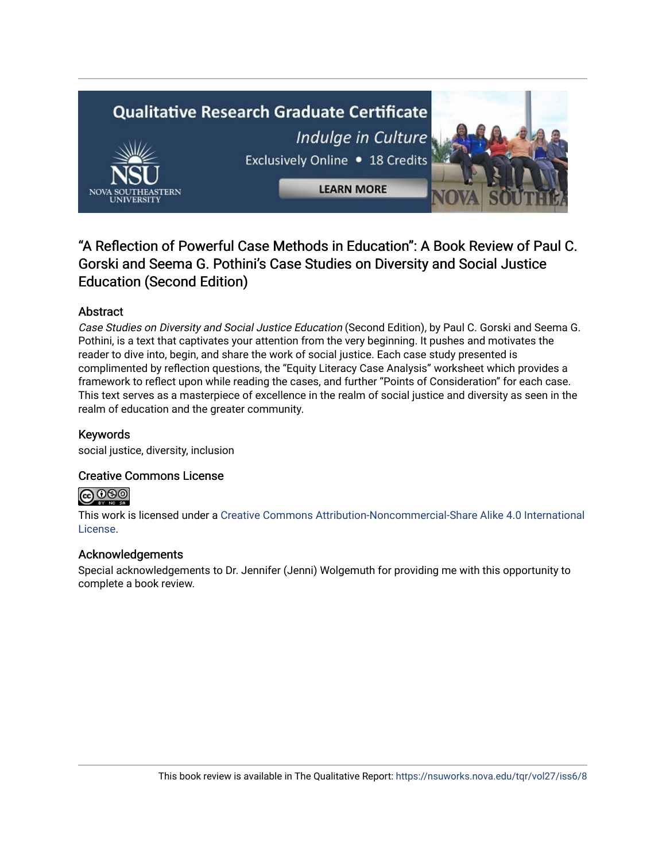# **Qualitative Research Graduate Certificate** Indulge in Culture Exclusively Online . 18 Credits **LEARN MORE**

## "A Reflection of Powerful Case Methods in Education": A Book Review of Paul C. Gorski and Seema G. Pothini's Case Studies on Diversity and Social Justice Education (Second Edition)

## Abstract

Case Studies on Diversity and Social Justice Education (Second Edition), by Paul C. Gorski and Seema G. Pothini, is a text that captivates your attention from the very beginning. It pushes and motivates the reader to dive into, begin, and share the work of social justice. Each case study presented is complimented by reflection questions, the "Equity Literacy Case Analysis" worksheet which provides a framework to reflect upon while reading the cases, and further "Points of Consideration" for each case. This text serves as a masterpiece of excellence in the realm of social justice and diversity as seen in the realm of education and the greater community.

## Keywords

social justice, diversity, inclusion

## Creative Commons License

## $\bigodot \, 0 \, 0 \, 0$

This work is licensed under a [Creative Commons Attribution-Noncommercial-Share Alike 4.0 International](https://creativecommons.org/licenses/by-nc-sa/4.0/)  [License](https://creativecommons.org/licenses/by-nc-sa/4.0/).

### Acknowledgements

Special acknowledgements to Dr. Jennifer (Jenni) Wolgemuth for providing me with this opportunity to complete a book review.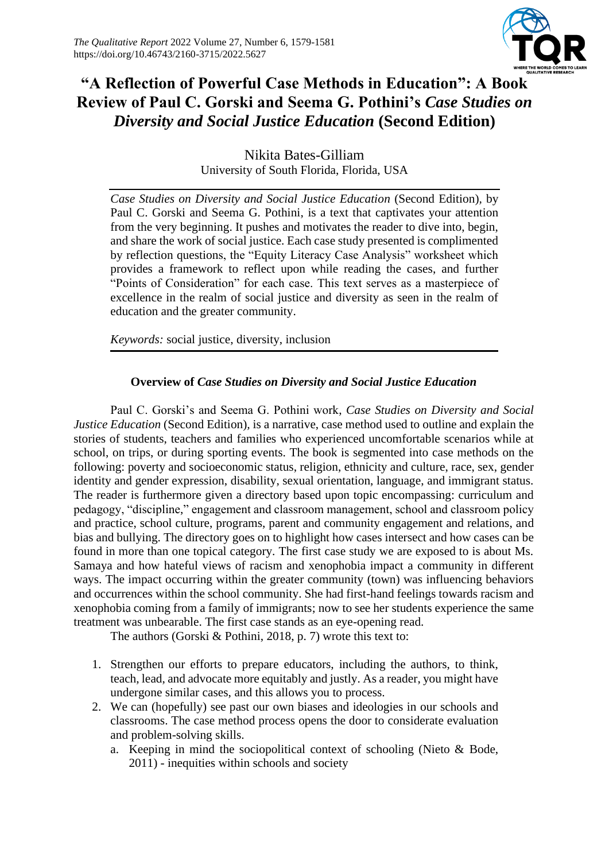

## **"A Reflection of Powerful Case Methods in Education": A Book Review of Paul C. Gorski and Seema G. Pothini's** *Case Studies on Diversity and Social Justice Education* **(Second Edition)**

Nikita Bates-Gilliam University of South Florida, Florida, USA

*Case Studies on Diversity and Social Justice Education* (Second Edition)*,* by Paul C. Gorski and Seema G. Pothini, is a text that captivates your attention from the very beginning. It pushes and motivates the reader to dive into, begin, and share the work of social justice. Each case study presented is complimented by reflection questions, the "Equity Literacy Case Analysis" worksheet which provides a framework to reflect upon while reading the cases, and further "Points of Consideration" for each case. This text serves as a masterpiece of excellence in the realm of social justice and diversity as seen in the realm of education and the greater community.

*Keywords:* social justice, diversity, inclusion

## **Overview of** *Case Studies on Diversity and Social Justice Education*

Paul C. Gorski's and Seema G. Pothini work, *Case Studies on Diversity and Social Justice Education* (Second Edition), is a narrative, case method used to outline and explain the stories of students, teachers and families who experienced uncomfortable scenarios while at school, on trips, or during sporting events. The book is segmented into case methods on the following: poverty and socioeconomic status, religion, ethnicity and culture, race, sex, gender identity and gender expression, disability, sexual orientation, language, and immigrant status. The reader is furthermore given a directory based upon topic encompassing: curriculum and pedagogy, "discipline," engagement and classroom management, school and classroom policy and practice, school culture, programs, parent and community engagement and relations, and bias and bullying. The directory goes on to highlight how cases intersect and how cases can be found in more than one topical category. The first case study we are exposed to is about Ms. Samaya and how hateful views of racism and xenophobia impact a community in different ways. The impact occurring within the greater community (town) was influencing behaviors and occurrences within the school community. She had first-hand feelings towards racism and xenophobia coming from a family of immigrants; now to see her students experience the same treatment was unbearable. The first case stands as an eye-opening read.

The authors (Gorski & Pothini, 2018, p. 7) wrote this text to:

- 1. Strengthen our efforts to prepare educators, including the authors, to think, teach, lead, and advocate more equitably and justly. As a reader, you might have undergone similar cases, and this allows you to process.
- 2. We can (hopefully) see past our own biases and ideologies in our schools and classrooms. The case method process opens the door to considerate evaluation and problem-solving skills.
	- a. Keeping in mind the sociopolitical context of schooling (Nieto & Bode, 2011) - inequities within schools and society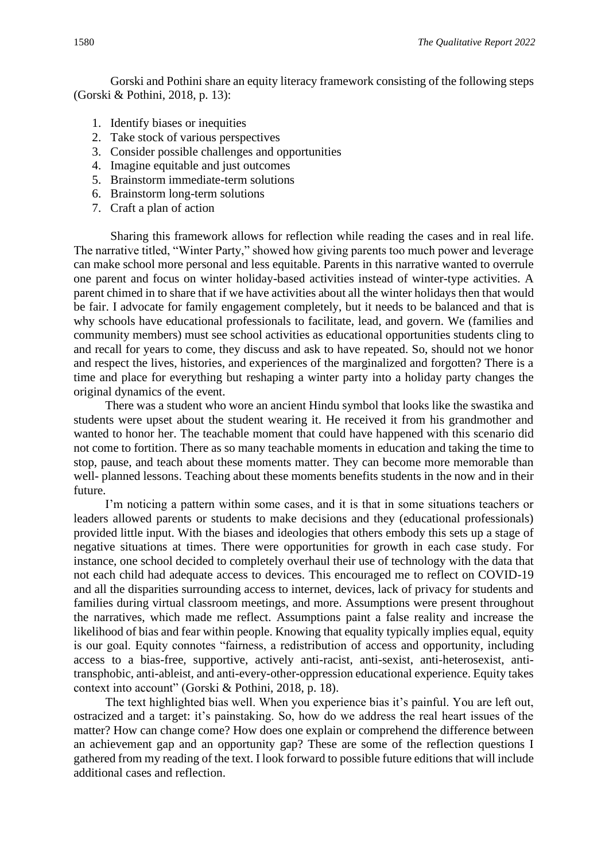Gorski and Pothini share an equity literacy framework consisting of the following steps (Gorski & Pothini, 2018, p. 13):

- 1. Identify biases or inequities
- 2. Take stock of various perspectives
- 3. Consider possible challenges and opportunities
- 4. Imagine equitable and just outcomes
- 5. Brainstorm immediate-term solutions
- 6. Brainstorm long-term solutions
- 7. Craft a plan of action

Sharing this framework allows for reflection while reading the cases and in real life. The narrative titled, "Winter Party," showed how giving parents too much power and leverage can make school more personal and less equitable. Parents in this narrative wanted to overrule one parent and focus on winter holiday-based activities instead of winter-type activities. A parent chimed in to share that if we have activities about all the winter holidays then that would be fair. I advocate for family engagement completely, but it needs to be balanced and that is why schools have educational professionals to facilitate, lead, and govern. We (families and community members) must see school activities as educational opportunities students cling to and recall for years to come, they discuss and ask to have repeated. So, should not we honor and respect the lives, histories, and experiences of the marginalized and forgotten? There is a time and place for everything but reshaping a winter party into a holiday party changes the original dynamics of the event.

There was a student who wore an ancient Hindu symbol that looks like the swastika and students were upset about the student wearing it. He received it from his grandmother and wanted to honor her. The teachable moment that could have happened with this scenario did not come to fortition. There as so many teachable moments in education and taking the time to stop, pause, and teach about these moments matter. They can become more memorable than well- planned lessons. Teaching about these moments benefits students in the now and in their future.

I'm noticing a pattern within some cases, and it is that in some situations teachers or leaders allowed parents or students to make decisions and they (educational professionals) provided little input. With the biases and ideologies that others embody this sets up a stage of negative situations at times. There were opportunities for growth in each case study. For instance, one school decided to completely overhaul their use of technology with the data that not each child had adequate access to devices. This encouraged me to reflect on COVID-19 and all the disparities surrounding access to internet, devices, lack of privacy for students and families during virtual classroom meetings, and more. Assumptions were present throughout the narratives, which made me reflect. Assumptions paint a false reality and increase the likelihood of bias and fear within people. Knowing that equality typically implies equal, equity is our goal. Equity connotes "fairness, a redistribution of access and opportunity, including access to a bias-free, supportive, actively anti-racist, anti-sexist, anti-heterosexist, antitransphobic, anti-ableist, and anti-every-other-oppression educational experience. Equity takes context into account" (Gorski & Pothini, 2018, p. 18).

The text highlighted bias well. When you experience bias it's painful. You are left out, ostracized and a target: it's painstaking. So, how do we address the real heart issues of the matter? How can change come? How does one explain or comprehend the difference between an achievement gap and an opportunity gap? These are some of the reflection questions I gathered from my reading of the text. I look forward to possible future editions that will include additional cases and reflection.